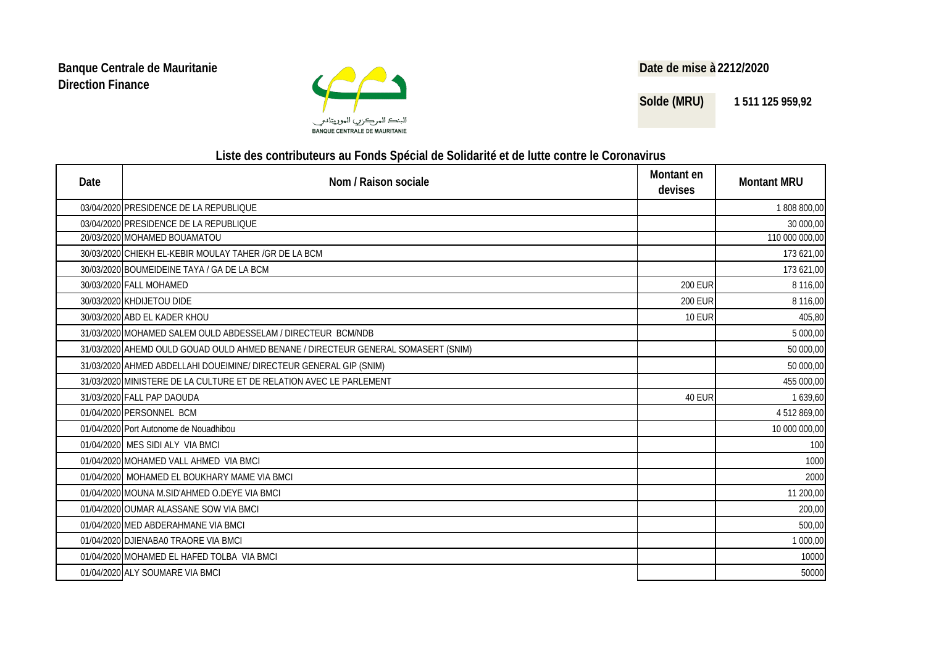**Banque Centrale de Mauritanie Date de mise à 2212/2020 Direction Finance**



**Solde (MRU) 1 511 125 959,92** 

## **Liste des contributeurs au Fonds Spécial de Solidarité et de lutte contre le Coronavirus**

| Date | Nom / Raison sociale                                                              | Montant en<br>devises | <b>Montant MRU</b> |
|------|-----------------------------------------------------------------------------------|-----------------------|--------------------|
|      | 03/04/2020 PRESIDENCE DE LA REPUBLIQUE                                            |                       | 1808800,00         |
|      | 03/04/2020 PRESIDENCE DE LA REPUBLIQUE                                            |                       | 30 000.00          |
|      | 20/03/2020 MOHAMED BOUAMATOU                                                      |                       | 110 000 000,00     |
|      | 30/03/2020 CHIEKH EL-KEBIR MOULAY TAHER / GR DE LA BCM                            |                       | 173 621,00         |
|      | 30/03/2020 BOUMEIDEINE TAYA / GA DE LA BCM                                        |                       | 173 621,00         |
|      | 30/03/2020 FALL MOHAMED                                                           | <b>200 EUR</b>        | 8 116,00           |
|      | 30/03/2020 KHDIJETOU DIDE                                                         | <b>200 EUR</b>        | 8 116.00           |
|      | 30/03/2020 ABD EL KADER KHOU                                                      | <b>10 EUR</b>         | 405,80             |
|      | 31/03/2020 MOHAMED SALEM OULD ABDESSELAM / DIRECTEUR BCM/NDB                      |                       | 5 000,00           |
|      | 31/03/2020 AHEMD OULD GOUAD OULD AHMED BENANE / DIRECTEUR GENERAL SOMASERT (SNIM) |                       | 50 000,00          |
|      | 31/03/2020 AHMED ABDELLAHI DOUEIMINE/ DIRECTEUR GENERAL GIP (SNIM)                |                       | 50 000,00          |
|      | 31/03/2020 MINISTERE DE LA CULTURE ET DE RELATION AVEC LE PARLEMENT               |                       | 455 000,00         |
|      | 31/03/2020 FALL PAP DAOUDA                                                        | <b>40 EUR</b>         | 1639,60            |
|      | 01/04/2020 PERSONNEL BCM                                                          |                       | 4512869,00         |
|      | 01/04/2020 Port Autonome de Nouadhibou                                            |                       | 10 000 000,00      |
|      | 01/04/2020 MES SIDI ALY VIA BMCI                                                  |                       | 100                |
|      | 01/04/2020 MOHAMED VALL AHMED VIA BMCI                                            |                       | 1000               |
|      | 01/04/2020 MOHAMED EL BOUKHARY MAME VIA BMCI                                      |                       | 2000               |
|      | 01/04/2020 MOUNA M.SID'AHMED O.DEYE VIA BMCI                                      |                       | 11 200,00          |
|      | 01/04/2020 OUMAR ALASSANE SOW VIA BMCI                                            |                       | 200,00             |
|      | 01/04/2020 MED ABDERAHMANE VIA BMCI                                               |                       | 500,00             |
|      | 01/04/2020 DJIENABA0 TRAORE VIA BMCI                                              |                       | 1 000,00           |
|      | 01/04/2020 MOHAMED EL HAFED TOLBA VIA BMCI                                        |                       | 10000              |
|      | 01/04/2020 ALY SOUMARE VIA BMCI                                                   |                       | 50000              |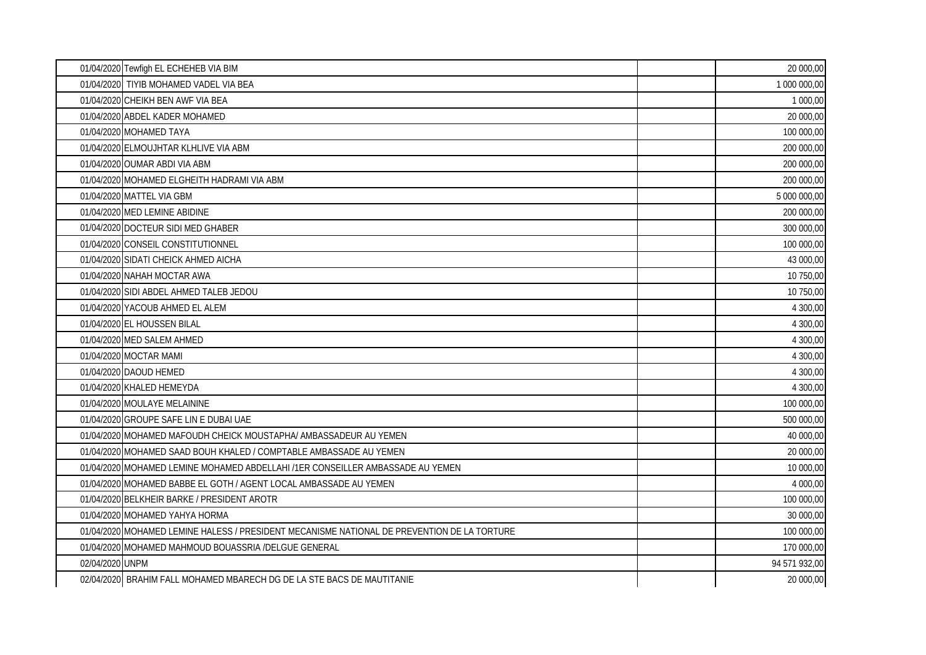|                 | 01/04/2020 Tewfigh EL ECHEHEB VIA BIM                                                       | 20 000,00     |
|-----------------|---------------------------------------------------------------------------------------------|---------------|
|                 | 01/04/2020 TIYIB MOHAMED VADEL VIA BEA                                                      | 1 000 000,00  |
|                 | 01/04/2020 CHEIKH BEN AWF VIA BEA                                                           | 1 000,00      |
|                 | 01/04/2020 ABDEL KADER MOHAMED                                                              | 20 000,00     |
|                 | 01/04/2020 MOHAMED TAYA                                                                     | 100 000,00    |
|                 | 01/04/2020 ELMOUJHTAR KLHLIVE VIA ABM                                                       | 200 000,00    |
|                 | 01/04/2020 OUMAR ABDI VIA ABM                                                               | 200 000,00    |
|                 | 01/04/2020 MOHAMED ELGHEITH HADRAMI VIA ABM                                                 | 200 000,00    |
|                 | 01/04/2020 MATTEL VIA GBM                                                                   | 5 000 000,00  |
|                 | 01/04/2020 MED LEMINE ABIDINE                                                               | 200 000,00    |
|                 | 01/04/2020 DOCTEUR SIDI MED GHABER                                                          | 300 000,00    |
|                 | 01/04/2020 CONSEIL CONSTITUTIONNEL                                                          | 100 000,00    |
|                 | 01/04/2020 SIDATI CHEICK AHMED AICHA                                                        | 43 000,00     |
|                 | 01/04/2020 NAHAH MOCTAR AWA                                                                 | 10 750,00     |
|                 | 01/04/2020 SIDI ABDEL AHMED TALEB JEDOU                                                     | 10 750,00     |
|                 | 01/04/2020 YACOUB AHMED EL ALEM                                                             | 4 300,00      |
|                 | 01/04/2020 EL HOUSSEN BILAL                                                                 | 4 300,00      |
|                 | 01/04/2020 MED SALEM AHMED                                                                  | 4 300,00      |
|                 | 01/04/2020 MOCTAR MAMI                                                                      | 4 300,00      |
|                 | 01/04/2020 DAOUD HEMED                                                                      | 4 300,00      |
|                 | 01/04/2020 KHALED HEMEYDA                                                                   | 4 300,00      |
|                 | 01/04/2020 MOULAYE MELAININE                                                                | 100 000,00    |
|                 | 01/04/2020 GROUPE SAFE LIN E DUBAI UAE                                                      | 500 000,00    |
|                 | 01/04/2020 MOHAMED MAFOUDH CHEICK MOUSTAPHA/ AMBASSADEUR AU YEMEN                           | 40 000,00     |
|                 | 01/04/2020 MOHAMED SAAD BOUH KHALED / COMPTABLE AMBASSADE AU YEMEN                          | 20 000,00     |
|                 | 01/04/2020 MOHAMED LEMINE MOHAMED ABDELLAHI /1ER CONSEILLER AMBASSADE AU YEMEN              | 10 000,00     |
|                 | 01/04/2020 MOHAMED BABBE EL GOTH / AGENT LOCAL AMBASSADE AU YEMEN                           | 4 000,00      |
|                 | 01/04/2020 BELKHEIR BARKE / PRESIDENT AROTR                                                 | 100 000,00    |
|                 | 01/04/2020 MOHAMED YAHYA HORMA                                                              | 30 000,00     |
|                 | 01/04/2020 MOHAMED LEMINE HALESS / PRESIDENT MECANISME NATIONAL DE PREVENTION DE LA TORTURE | 100 000,00    |
|                 | 01/04/2020 MOHAMED MAHMOUD BOUASSRIA /DELGUE GENERAL                                        | 170 000,00    |
| 02/04/2020 UNPM |                                                                                             | 94 571 932,00 |
|                 | 02/04/2020 BRAHIM FALL MOHAMED MBARECH DG DE LA STE BACS DE MAUTITANIE                      | 20 000,00     |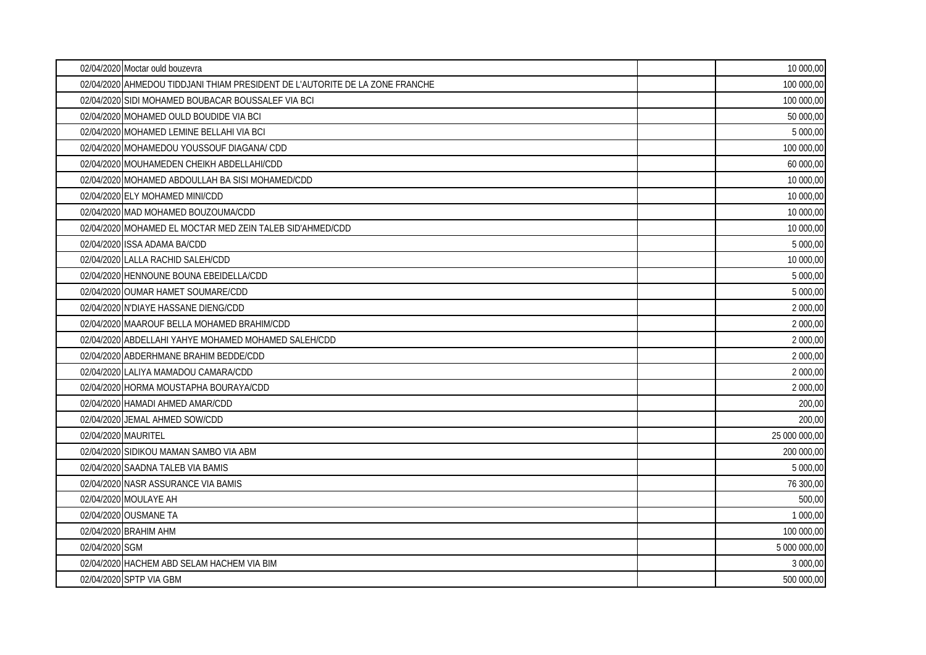|                | 02/04/2020 Moctar ould bouzevra                                              | 10 000,00     |
|----------------|------------------------------------------------------------------------------|---------------|
|                | 02/04/2020 AHMEDOU TIDDJANI THIAM PRESIDENT DE L'AUTORITE DE LA ZONE FRANCHE | 100 000,00    |
|                | 02/04/2020 SIDI MOHAMED BOUBACAR BOUSSALEF VIA BCI                           | 100 000,00    |
|                | 02/04/2020 MOHAMED OULD BOUDIDE VIA BCI                                      | 50 000,00     |
|                | 02/04/2020 MOHAMED LEMINE BELLAHI VIA BCI                                    | 5 000,00      |
|                | 02/04/2020 MOHAMEDOU YOUSSOUF DIAGANA/ CDD                                   | 100 000,00    |
|                | 02/04/2020 MOUHAMEDEN CHEIKH ABDELLAHI/CDD                                   | 60 000,00     |
|                | 02/04/2020 MOHAMED ABDOULLAH BA SISI MOHAMED/CDD                             | 10 000,00     |
|                | 02/04/2020 ELY MOHAMED MINI/CDD                                              | 10 000,00     |
|                | 02/04/2020 MAD MOHAMED BOUZOUMA/CDD                                          | 10 000,00     |
|                | 02/04/2020 MOHAMED EL MOCTAR MED ZEIN TALEB SID'AHMED/CDD                    | 10 000,00     |
|                | 02/04/2020 ISSA ADAMA BA/CDD                                                 | 5 000,00      |
|                | 02/04/2020 LALLA RACHID SALEH/CDD                                            | 10 000,00     |
|                | 02/04/2020 HENNOUNE BOUNA EBEIDELLA/CDD                                      | 5 000,00      |
|                | 02/04/2020 OUMAR HAMET SOUMARE/CDD                                           | 5 000,00      |
|                | 02/04/2020 N'DIAYE HASSANE DIENG/CDD                                         | 2 000,00      |
|                | 02/04/2020 MAAROUF BELLA MOHAMED BRAHIM/CDD                                  | 2 000,00      |
|                | 02/04/2020 ABDELLAHI YAHYE MOHAMED MOHAMED SALEH/CDD                         | 2 000,00      |
|                | 02/04/2020 ABDERHMANE BRAHIM BEDDE/CDD                                       | 2 000,00      |
|                | 02/04/2020 LALIYA MAMADOU CAMARA/CDD                                         | 2 000,00      |
|                | 02/04/2020 HORMA MOUSTAPHA BOURAYA/CDD                                       | 2 000,00      |
|                | 02/04/2020 HAMADI AHMED AMAR/CDD                                             | 200,00        |
|                | 02/04/2020 JEMAL AHMED SOW/CDD                                               | 200,00        |
|                | 02/04/2020 MAURITEL                                                          | 25 000 000,00 |
|                | 02/04/2020 SIDIKOU MAMAN SAMBO VIA ABM                                       | 200 000,00    |
|                | 02/04/2020 SAADNA TALEB VIA BAMIS                                            | 5 000,00      |
|                | 02/04/2020 NASR ASSURANCE VIA BAMIS                                          | 76 300,00     |
|                | 02/04/2020 MOULAYE AH                                                        | 500,00        |
|                | 02/04/2020 OUSMANE TA                                                        | 1 000,00      |
|                | 02/04/2020 BRAHIM AHM                                                        | 100 000,00    |
| 02/04/2020 SGM |                                                                              | 5 000 000,00  |
|                | 02/04/2020 HACHEM ABD SELAM HACHEM VIA BIM                                   | 3 000,00      |
|                | 02/04/2020 SPTP VIA GBM                                                      | 500 000,00    |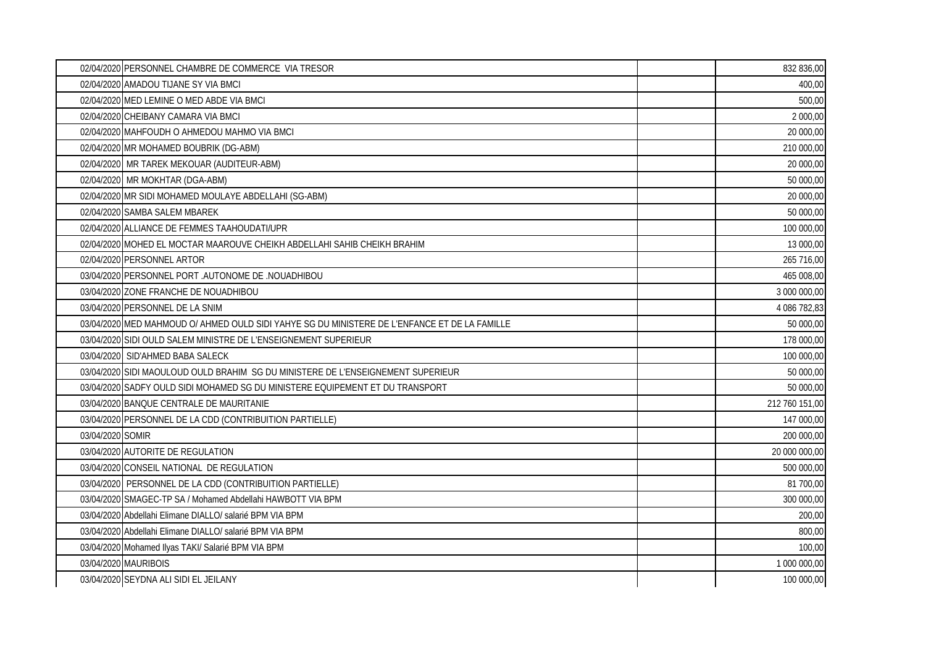|                  | 02/04/2020 PERSONNEL CHAMBRE DE COMMERCE VIA TRESOR                                           | 832 836,00     |
|------------------|-----------------------------------------------------------------------------------------------|----------------|
|                  | 02/04/2020 AMADOU TIJANE SY VIA BMCI                                                          | 400,00         |
|                  | 02/04/2020 MED LEMINE O MED ABDE VIA BMCI                                                     | 500,00         |
|                  | 02/04/2020 CHEIBANY CAMARA VIA BMCI                                                           | 2 000,00       |
|                  | 02/04/2020 MAHFOUDH O AHMEDOU MAHMO VIA BMCI                                                  | 20 000,00      |
|                  | 02/04/2020 MR MOHAMED BOUBRIK (DG-ABM)                                                        | 210 000,00     |
|                  | 02/04/2020 MR TAREK MEKOUAR (AUDITEUR-ABM)                                                    | 20 000,00      |
|                  | 02/04/2020 MR MOKHTAR (DGA-ABM)                                                               | 50 000,00      |
|                  | 02/04/2020 MR SIDI MOHAMED MOULAYE ABDELLAHI (SG-ABM)                                         | 20 000,00      |
|                  | 02/04/2020 SAMBA SALEM MBAREK                                                                 | 50 000,00      |
|                  | 02/04/2020 ALLIANCE DE FEMMES TAAHOUDATI/UPR                                                  | 100 000,00     |
|                  | 02/04/2020 MOHED EL MOCTAR MAAROUVE CHEIKH ABDELLAHI SAHIB CHEIKH BRAHIM                      | 13 000,00      |
|                  | 02/04/2020 PERSONNEL ARTOR                                                                    | 265 716,00     |
|                  | 03/04/2020 PERSONNEL PORT .AUTONOME DE .NOUADHIBOU                                            | 465 008,00     |
|                  | 03/04/2020 ZONE FRANCHE DE NOUADHIBOU                                                         | 3 000 000,00   |
|                  | 03/04/2020 PERSONNEL DE LA SNIM                                                               | 4 086 782,83   |
|                  | 03/04/2020 MED MAHMOUD O/ AHMED OULD SIDI YAHYE SG DU MINISTERE DE L'ENFANCE ET DE LA FAMILLE | 50 000,00      |
|                  | 03/04/2020 SIDI OULD SALEM MINISTRE DE L'ENSEIGNEMENT SUPERIEUR                               | 178 000,00     |
|                  | 03/04/2020 SID'AHMED BABA SALECK                                                              | 100 000,00     |
|                  | 03/04/2020 SIDI MAOULOUD OULD BRAHIM SG DU MINISTERE DE L'ENSEIGNEMENT SUPERIEUR              | 50 000,00      |
|                  | 03/04/2020 SADFY OULD SIDI MOHAMED SG DU MINISTERE EQUIPEMENT ET DU TRANSPORT                 | 50 000,00      |
|                  | 03/04/2020 BANQUE CENTRALE DE MAURITANIE                                                      | 212 760 151,00 |
|                  | 03/04/2020 PERSONNEL DE LA CDD (CONTRIBUITION PARTIELLE)                                      | 147 000,00     |
| 03/04/2020 SOMIR |                                                                                               | 200 000,00     |
|                  | 03/04/2020 AUTORITE DE REGULATION                                                             | 20 000 000,00  |
|                  | 03/04/2020 CONSEIL NATIONAL DE REGULATION                                                     | 500 000,00     |
|                  | 03/04/2020 PERSONNEL DE LA CDD (CONTRIBUITION PARTIELLE)                                      | 81 700,00      |
|                  | 03/04/2020 SMAGEC-TP SA / Mohamed Abdellahi HAWBOTT VIA BPM                                   | 300 000,00     |
|                  | 03/04/2020 Abdellahi Elimane DIALLO/ salarié BPM VIA BPM                                      | 200,00         |
|                  | 03/04/2020 Abdellahi Elimane DIALLO/ salarié BPM VIA BPM                                      | 800,00         |
|                  | 03/04/2020 Mohamed Ilyas TAKI/ Salarié BPM VIA BPM                                            | 100,00         |
|                  | 03/04/2020 MAURIBOIS                                                                          | 1 000 000,00   |
|                  | 03/04/2020 SEYDNA ALI SIDI EL JEILANY                                                         | 100 000,00     |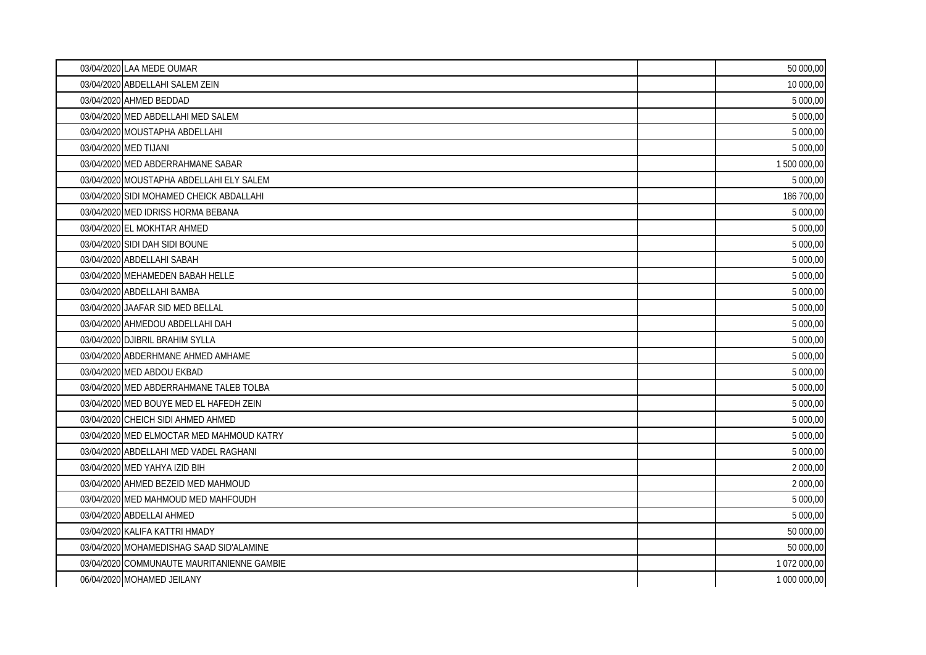| 03/04/2020 LAA MEDE OUMAR                  | 50 000,00    |
|--------------------------------------------|--------------|
| 03/04/2020 ABDELLAHI SALEM ZEIN            | 10 000,00    |
| 03/04/2020 AHMED BEDDAD                    | 5 000,00     |
| 03/04/2020 MED ABDELLAHI MED SALEM         | 5 000,00     |
| 03/04/2020 MOUSTAPHA ABDELLAHI             | 5 000,00     |
| 03/04/2020 MED TIJANI                      | 5 000,00     |
| 03/04/2020 MED ABDERRAHMANE SABAR          | 1 500 000,00 |
| 03/04/2020 MOUSTAPHA ABDELLAHI ELY SALEM   | 5 000,00     |
| 03/04/2020 SIDI MOHAMED CHEICK ABDALLAHI   | 186 700,00   |
| 03/04/2020 MED IDRISS HORMA BEBANA         | 5 000,00     |
| 03/04/2020 EL MOKHTAR AHMED                | 5 000,00     |
| 03/04/2020 SIDI DAH SIDI BOUNE             | 5 000,00     |
| 03/04/2020 ABDELLAHI SABAH                 | 5 000,00     |
| 03/04/2020 MEHAMEDEN BABAH HELLE           | 5 000,00     |
| 03/04/2020 ABDELLAHI BAMBA                 | 5 000,00     |
| 03/04/2020 JAAFAR SID MED BELLAL           | 5 000,00     |
| 03/04/2020 AHMEDOU ABDELLAHI DAH           | 5 000,00     |
| 03/04/2020 DJIBRIL BRAHIM SYLLA            | 5 000,00     |
| 03/04/2020 ABDERHMANE AHMED AMHAME         | 5 000,00     |
| 03/04/2020 MED ABDOU EKBAD                 | 5 000,00     |
| 03/04/2020 MED ABDERRAHMANE TALEB TOLBA    | 5 000,00     |
| 03/04/2020 MED BOUYE MED EL HAFEDH ZEIN    | 5 000,00     |
| 03/04/2020 CHEICH SIDI AHMED AHMED         | 5 000,00     |
| 03/04/2020 MED ELMOCTAR MED MAHMOUD KATRY  | 5 000,00     |
| 03/04/2020 ABDELLAHI MED VADEL RAGHANI     | 5 000,00     |
| 03/04/2020 MED YAHYA IZID BIH              | 2 000,00     |
| 03/04/2020 AHMED BEZEID MED MAHMOUD        | 2 000,00     |
| 03/04/2020 MED MAHMOUD MED MAHFOUDH        | 5 000,00     |
| 03/04/2020 ABDELLAI AHMED                  | 5 000,00     |
| 03/04/2020 KALIFA KATTRI HMADY             | 50 000,00    |
| 03/04/2020 MOHAMEDISHAG SAAD SID'ALAMINE   | 50 000,00    |
| 03/04/2020 COMMUNAUTE MAURITANIENNE GAMBIE | 1 072 000,00 |
| 06/04/2020 MOHAMED JEILANY                 | 1 000 000,00 |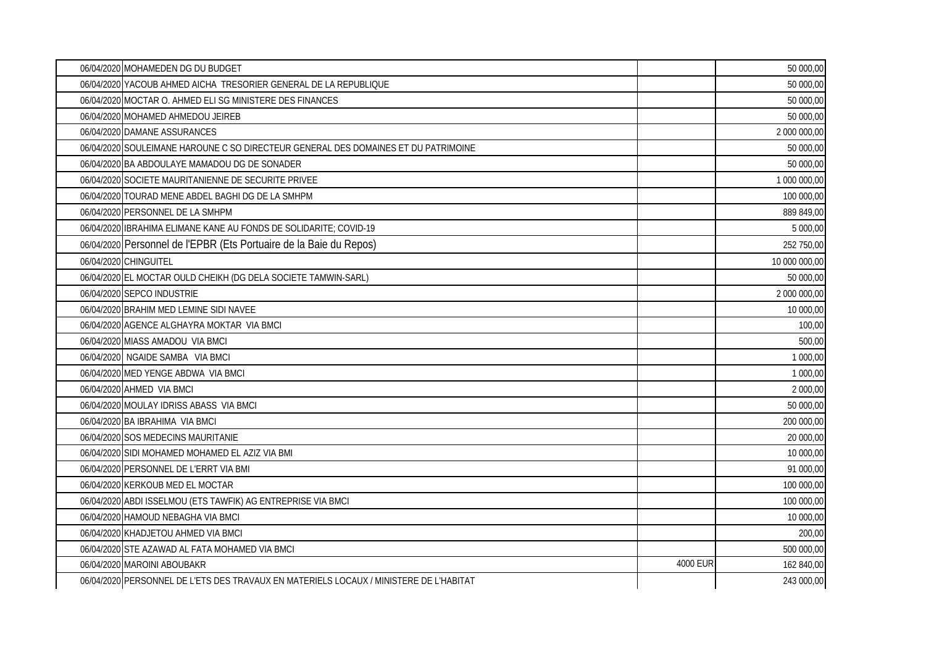| 06/04/2020 MOHAMEDEN DG DU BUDGET                                                      |                 | 50 000,00     |
|----------------------------------------------------------------------------------------|-----------------|---------------|
| 06/04/2020 YACOUB AHMED AICHA TRESORIER GENERAL DE LA REPUBLIQUE                       |                 | 50 000,00     |
| 06/04/2020 MOCTAR O. AHMED ELI SG MINISTERE DES FINANCES                               |                 | 50 000,00     |
| 06/04/2020 MOHAMED AHMEDOU JEIREB                                                      |                 | 50 000,00     |
| 06/04/2020 DAMANE ASSURANCES                                                           |                 | 2 000 000,00  |
| 06/04/2020 SOULEIMANE HAROUNE C SO DIRECTEUR GENERAL DES DOMAINES ET DU PATRIMOINE     |                 | 50 000,00     |
| 06/04/2020 BA ABDOULAYE MAMADOU DG DE SONADER                                          |                 | 50 000,00     |
| 06/04/2020 SOCIETE MAURITANIENNE DE SECURITE PRIVEE                                    |                 | 1 000 000,00  |
| 06/04/2020 TOURAD MENE ABDEL BAGHI DG DE LA SMHPM                                      |                 | 100 000,00    |
| 06/04/2020 PERSONNEL DE LA SMHPM                                                       |                 | 889 849,00    |
| 06/04/2020 IBRAHIMA ELIMANE KANE AU FONDS DE SOLIDARITE; COVID-19                      |                 | 5 000,00      |
| 06/04/2020 Personnel de l'EPBR (Ets Portuaire de la Baie du Repos)                     |                 | 252 750.00    |
| 06/04/2020 CHINGUITEL                                                                  |                 | 10 000 000,00 |
| 06/04/2020 EL MOCTAR OULD CHEIKH (DG DELA SOCIETE TAMWIN-SARL)                         |                 | 50 000,00     |
| 06/04/2020 SEPCO INDUSTRIE                                                             |                 | 2 000 000,00  |
| 06/04/2020 BRAHIM MED LEMINE SIDI NAVEE                                                |                 | 10 000,00     |
| 06/04/2020 AGENCE ALGHAYRA MOKTAR VIA BMCI                                             |                 | 100,00        |
| 06/04/2020 MIASS AMADOU VIA BMCI                                                       |                 | 500,00        |
| 06/04/2020 NGAIDE SAMBA VIA BMCI                                                       |                 | 1 000,00      |
| 06/04/2020 MED YENGE ABDWA VIA BMCI                                                    |                 | 1 000,00      |
| 06/04/2020 AHMED VIA BMCI                                                              |                 | 2 000,00      |
| 06/04/2020 MOULAY IDRISS ABASS VIA BMCI                                                |                 | 50 000,00     |
| 06/04/2020 BA IBRAHIMA VIA BMCI                                                        |                 | 200 000,00    |
| 06/04/2020 SOS MEDECINS MAURITANIE                                                     |                 | 20 000,00     |
| 06/04/2020 SIDI MOHAMED MOHAMED EL AZIZ VIA BMI                                        |                 | 10 000,00     |
| 06/04/2020 PERSONNEL DE L'ERRT VIA BMI                                                 |                 | 91 000,00     |
| 06/04/2020 KERKOUB MED EL MOCTAR                                                       |                 | 100 000,00    |
| 06/04/2020 ABDI ISSELMOU (ETS TAWFIK) AG ENTREPRISE VIA BMCI                           |                 | 100 000,00    |
| 06/04/2020 HAMOUD NEBAGHA VIA BMCI                                                     |                 | 10 000,00     |
| 06/04/2020 KHADJETOU AHMED VIA BMCI                                                    |                 | 200,00        |
| 06/04/2020 STE AZAWAD AL FATA MOHAMED VIA BMCI                                         |                 | 500 000,00    |
| 06/04/2020 MAROINI ABOUBAKR                                                            | <b>4000 EUR</b> | 162 840,00    |
| 06/04/2020 PERSONNEL DE L'ETS DES TRAVAUX EN MATERIELS LOCAUX / MINISTERE DE L'HABITAT |                 | 243 000,00    |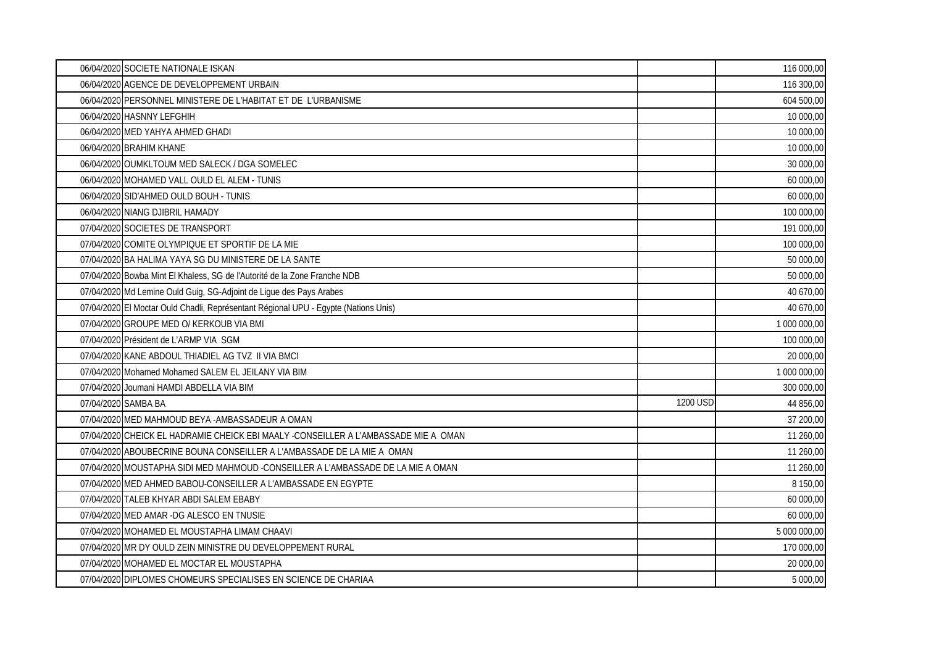| 06/04/2020 SOCIETE NATIONALE ISKAN                                                  |          | 116 000,00   |
|-------------------------------------------------------------------------------------|----------|--------------|
| 06/04/2020 AGENCE DE DEVELOPPEMENT URBAIN                                           |          | 116 300,00   |
| 06/04/2020 PERSONNEL MINISTERE DE L'HABITAT ET DE L'URBANISME                       |          | 604 500,00   |
| 06/04/2020 HASNNY LEFGHIH                                                           |          | 10 000,00    |
| 06/04/2020 MED YAHYA AHMED GHADI                                                    |          | 10 000,00    |
| 06/04/2020 BRAHIM KHANE                                                             |          | 10 000,00    |
| 06/04/2020 OUMKLTOUM MED SALECK / DGA SOMELEC                                       |          | 30 000,00    |
| 06/04/2020 MOHAMED VALL OULD EL ALEM - TUNIS                                        |          | 60 000,00    |
| 06/04/2020 SID'AHMED OULD BOUH - TUNIS                                              |          | 60 000,00    |
| 06/04/2020 NIANG DJIBRIL HAMADY                                                     |          | 100 000,00   |
| 07/04/2020 SOCIETES DE TRANSPORT                                                    |          | 191 000,00   |
| 07/04/2020 COMITE OLYMPIQUE ET SPORTIF DE LA MIE                                    |          | 100 000,00   |
| 07/04/2020 BA HALIMA YAYA SG DU MINISTERE DE LA SANTE                               |          | 50 000,00    |
| 07/04/2020 Bowba Mint El Khaless, SG de l'Autorité de la Zone Franche NDB           |          | 50 000,00    |
| 07/04/2020 Md Lemine Ould Guig, SG-Adjoint de Ligue des Pays Arabes                 |          | 40 670,00    |
| 07/04/2020 El Moctar Ould Chadli, Représentant Régional UPU - Egypte (Nations Unis) |          | 40 670,00    |
| 07/04/2020 GROUPE MED O/ KERKOUB VIA BMI                                            |          | 1 000 000,00 |
| 07/04/2020 Président de L'ARMP VIA SGM                                              |          | 100 000,00   |
| 07/04/2020 KANE ABDOUL THIADIEL AG TVZ II VIA BMCI                                  |          | 20 000,00    |
| 07/04/2020 Mohamed Mohamed SALEM EL JEILANY VIA BIM                                 |          | 1 000 000,00 |
| 07/04/2020 Joumani HAMDI ABDELLA VIA BIM                                            |          | 300 000,00   |
| 07/04/2020 SAMBA BA                                                                 | 1200 USD | 44 856,00    |
| 07/04/2020 MED MAHMOUD BEYA - AMBASSADEUR A OMAN                                    |          | 37 200,00    |
| 07/04/2020 CHEICK EL HADRAMIE CHEICK EBI MAALY -CONSEILLER A L'AMBASSADE MIE A OMAN |          | 11 260,00    |
| 07/04/2020 ABOUBECRINE BOUNA CONSEILLER A L'AMBASSADE DE LA MIE A OMAN              |          | 11 260,00    |
| 07/04/2020 MOUSTAPHA SIDI MED MAHMOUD - CONSEILLER A L'AMBASSADE DE LA MIE A OMAN   |          | 11 260,00    |
| 07/04/2020 MED AHMED BABOU-CONSEILLER A L'AMBASSADE EN EGYPTE                       |          | 8 150,00     |
| 07/04/2020 TALEB KHYAR ABDI SALEM EBABY                                             |          | 60 000,00    |
| 07/04/2020 MED AMAR -DG ALESCO EN TNUSIE                                            |          | 60 000,00    |
| 07/04/2020 MOHAMED EL MOUSTAPHA LIMAM CHAAVI                                        |          | 5 000 000,00 |
| 07/04/2020 MR DY OULD ZEIN MINISTRE DU DEVELOPPEMENT RURAL                          |          | 170 000,00   |
| 07/04/2020 MOHAMED EL MOCTAR EL MOUSTAPHA                                           |          | 20 000,00    |
| 07/04/2020 DIPLOMES CHOMEURS SPECIALISES EN SCIENCE DE CHARIAA                      |          | 5 000,00     |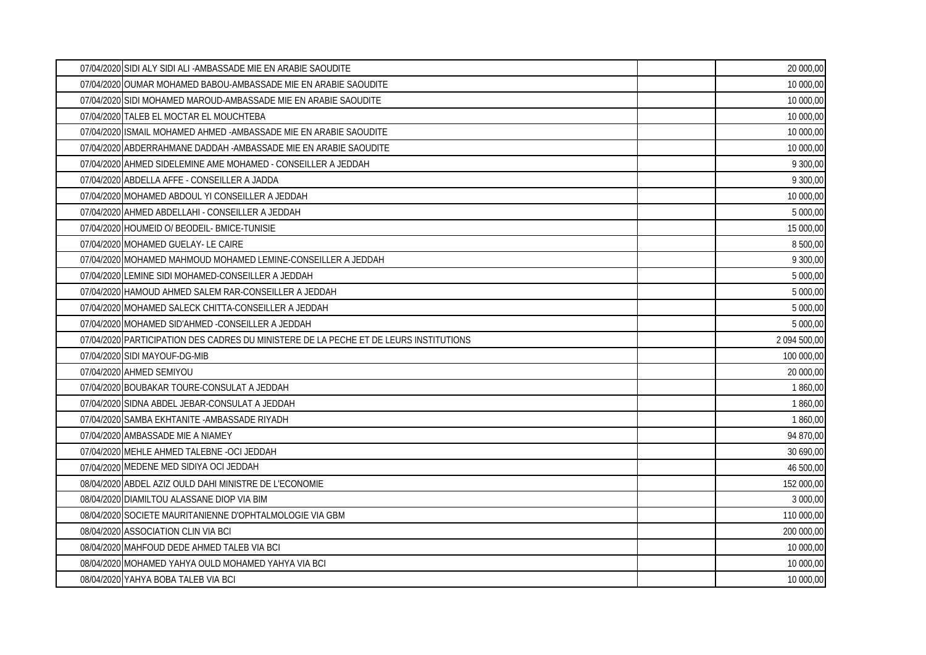| 07/04/2020 SIDI ALY SIDI ALI - AMBASSADE MIE EN ARABIE SAOUDITE                       | 20 000,00    |
|---------------------------------------------------------------------------------------|--------------|
| 07/04/2020 OUMAR MOHAMED BABOU-AMBASSADE MIE EN ARABIE SAOUDITE                       | 10 000,00    |
| 07/04/2020 SIDI MOHAMED MAROUD-AMBASSADE MIE EN ARABIE SAOUDITE                       | 10 000,00    |
| 07/04/2020 TALEB EL MOCTAR EL MOUCHTEBA                                               | 10 000,00    |
| 07/04/2020 ISMAIL MOHAMED AHMED -AMBASSADE MIE EN ARABIE SAOUDITE                     | 10 000,00    |
| 07/04/2020 ABDERRAHMANE DADDAH - AMBASSADE MIE EN ARABIE SAOUDITE                     | 10 000,00    |
| 07/04/2020 AHMED SIDELEMINE AME MOHAMED - CONSEILLER A JEDDAH                         | 9 300,00     |
| 07/04/2020 ABDELLA AFFE - CONSEILLER A JADDA                                          | 9 300,00     |
| 07/04/2020 MOHAMED ABDOUL YI CONSEILLER A JEDDAH                                      | 10 000,00    |
| 07/04/2020 AHMED ABDELLAHI - CONSEILLER A JEDDAH                                      | 5 000,00     |
| 07/04/2020 HOUMEID O/ BEODEIL- BMICE-TUNISIE                                          | 15 000,00    |
| 07/04/2020 MOHAMED GUELAY- LE CAIRE                                                   | 8 500,00     |
| 07/04/2020 MOHAMED MAHMOUD MOHAMED LEMINE-CONSEILLER A JEDDAH                         | 9 300.00     |
| 07/04/2020 LEMINE SIDI MOHAMED-CONSEILLER A JEDDAH                                    | 5 000,00     |
| 07/04/2020 HAMOUD AHMED SALEM RAR-CONSEILLER A JEDDAH                                 | 5 000,00     |
| 07/04/2020 MOHAMED SALECK CHITTA-CONSEILLER A JEDDAH                                  | 5 000,00     |
| 07/04/2020 MOHAMED SID'AHMED - CONSEILLER A JEDDAH                                    | 5 000,00     |
| 07/04/2020 PARTICIPATION DES CADRES DU MINISTERE DE LA PECHE ET DE LEURS INSTITUTIONS | 2 094 500,00 |
| 07/04/2020 SIDI MAYOUF-DG-MIB                                                         | 100 000,00   |
| 07/04/2020 AHMED SEMIYOU                                                              | 20 000,00    |
| 07/04/2020 BOUBAKAR TOURE-CONSULAT A JEDDAH                                           | 1860,00      |
| 07/04/2020 SIDNA ABDEL JEBAR-CONSULAT A JEDDAH                                        | 1860,00      |
| 07/04/2020 SAMBA EKHTANITE - AMBASSADE RIYADH                                         | 1860,00      |
| 07/04/2020 AMBASSADE MIE A NIAMEY                                                     | 94 870,00    |
| 07/04/2020 MEHLE AHMED TALEBNE -OCI JEDDAH                                            | 30 690,00    |
| 07/04/2020 MEDENE MED SIDIYA OCI JEDDAH                                               | 46 500,00    |
| 08/04/2020 ABDEL AZIZ OULD DAHI MINISTRE DE L'ECONOMIE                                | 152 000,00   |
| 08/04/2020 DIAMILTOU ALASSANE DIOP VIA BIM                                            | 3 000,00     |
| 08/04/2020 SOCIETE MAURITANIENNE D'OPHTALMOLOGIE VIA GBM                              | 110 000,00   |
| 08/04/2020 ASSOCIATION CLIN VIA BCI                                                   | 200 000,00   |
| 08/04/2020 MAHFOUD DEDE AHMED TALEB VIA BCI                                           | 10 000,00    |
| 08/04/2020 MOHAMED YAHYA OULD MOHAMED YAHYA VIA BCI                                   | 10 000,00    |
| 08/04/2020 YAHYA BOBA TALEB VIA BCI                                                   | 10 000,00    |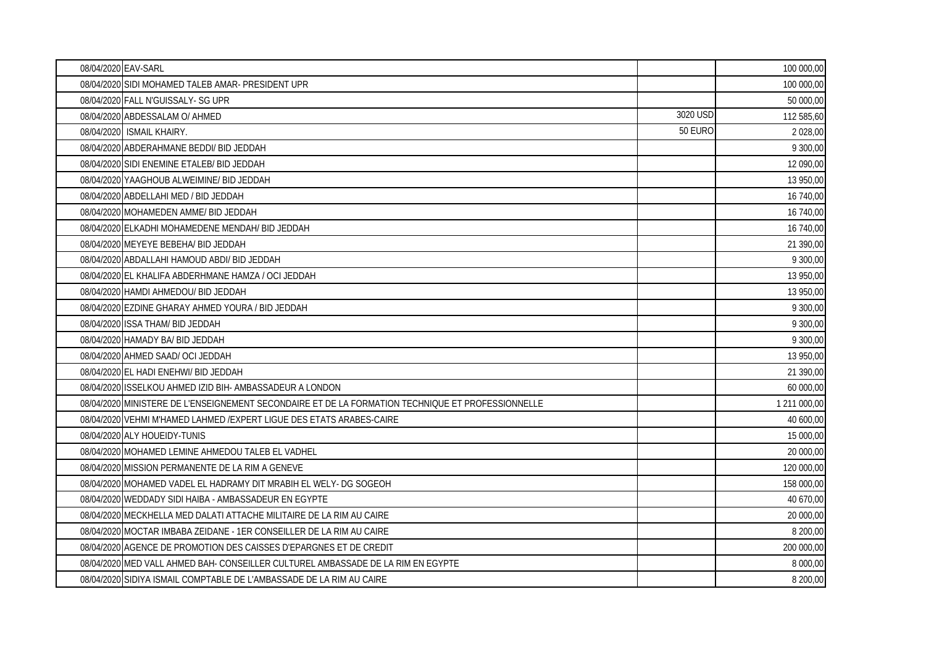| 08/04/2020 EAV-SARL |                                                                                                   |          | 100 000,00   |
|---------------------|---------------------------------------------------------------------------------------------------|----------|--------------|
|                     | 08/04/2020 SIDI MOHAMED TALEB AMAR- PRESIDENT UPR                                                 |          | 100 000,00   |
|                     | 08/04/2020 FALL N'GUISSALY-SG UPR                                                                 |          | 50 000,00    |
|                     | 08/04/2020 ABDESSALAM O/ AHMED                                                                    | 3020 USD | 112 585,60   |
|                     | 08/04/2020 ISMAIL KHAIRY.                                                                         | 50 EURO  | 2 0 28,00    |
|                     | 08/04/2020 ABDERAHMANE BEDDI/ BID JEDDAH                                                          |          | 9 300,00     |
|                     | 08/04/2020 SIDI ENEMINE ETALEB/ BID JEDDAH                                                        |          | 12 090,00    |
|                     | 08/04/2020 YAAGHOUB ALWEIMINE/ BID JEDDAH                                                         |          | 13 950,00    |
|                     | 08/04/2020 ABDELLAHI MED / BID JEDDAH                                                             |          | 16 740,00    |
|                     | 08/04/2020 MOHAMEDEN AMME/ BID JEDDAH                                                             |          | 16 740,00    |
|                     | 08/04/2020 ELKADHI MOHAMEDENE MENDAH/ BID JEDDAH                                                  |          | 16 740,00    |
|                     | 08/04/2020 MEYEYE BEBEHA/ BID JEDDAH                                                              |          | 21 390,00    |
|                     | 08/04/2020 ABDALLAHI HAMOUD ABDI/ BID JEDDAH                                                      |          | 9 300,00     |
|                     | 08/04/2020 EL KHALIFA ABDERHMANE HAMZA / OCI JEDDAH                                               |          | 13 950,00    |
|                     | 08/04/2020 HAMDI AHMEDOU/ BID JEDDAH                                                              |          | 13 950,00    |
|                     | 08/04/2020 EZDINE GHARAY AHMED YOURA / BID JEDDAH                                                 |          | 9 300,00     |
|                     | 08/04/2020 ISSA THAM/ BID JEDDAH                                                                  |          | 9 300,00     |
|                     | 08/04/2020 HAMADY BA/ BID JEDDAH                                                                  |          | 9 300,00     |
|                     | 08/04/2020 AHMED SAAD/ OCI JEDDAH                                                                 |          | 13 950,00    |
|                     | 08/04/2020 EL HADI ENEHWI/ BID JEDDAH                                                             |          | 21 390,00    |
|                     | 08/04/2020 ISSELKOU AHMED IZID BIH- AMBASSADEUR A LONDON                                          |          | 60 000,00    |
|                     | 08/04/2020 MINISTERE DE L'ENSEIGNEMENT SECONDAIRE ET DE LA FORMATION TECHNIQUE ET PROFESSIONNELLE |          | 1 211 000,00 |
|                     | 08/04/2020 VEHMI M'HAMED LAHMED /EXPERT LIGUE DES ETATS ARABES-CAIRE                              |          | 40 600,00    |
|                     | 08/04/2020 ALY HOUEIDY-TUNIS                                                                      |          | 15 000,00    |
|                     | 08/04/2020 MOHAMED LEMINE AHMEDOU TALEB EL VADHEL                                                 |          | 20 000,00    |
|                     | 08/04/2020 MISSION PERMANENTE DE LA RIM A GENEVE                                                  |          | 120 000,00   |
|                     | 08/04/2020 MOHAMED VADEL EL HADRAMY DIT MRABIH EL WELY- DG SOGEOH                                 |          | 158 000,00   |
|                     | 08/04/2020 WEDDADY SIDI HAIBA - AMBASSADEUR EN EGYPTE                                             |          | 40 670,00    |
|                     | 08/04/2020 MECKHELLA MED DALATI ATTACHE MILITAIRE DE LA RIM AU CAIRE                              |          | 20 000,00    |
|                     | 08/04/2020 MOCTAR IMBABA ZEIDANE - 1ER CONSEILLER DE LA RIM AU CAIRE                              |          | 8 200,00     |
|                     | 08/04/2020 AGENCE DE PROMOTION DES CAISSES D'EPARGNES ET DE CREDIT                                |          | 200 000,00   |
|                     | 08/04/2020 MED VALL AHMED BAH- CONSEILLER CULTUREL AMBASSADE DE LA RIM EN EGYPTE                  |          | 8 000,00     |
|                     | 08/04/2020 SIDIYA ISMAIL COMPTABLE DE L'AMBASSADE DE LA RIM AU CAIRE                              |          | 8 200,00     |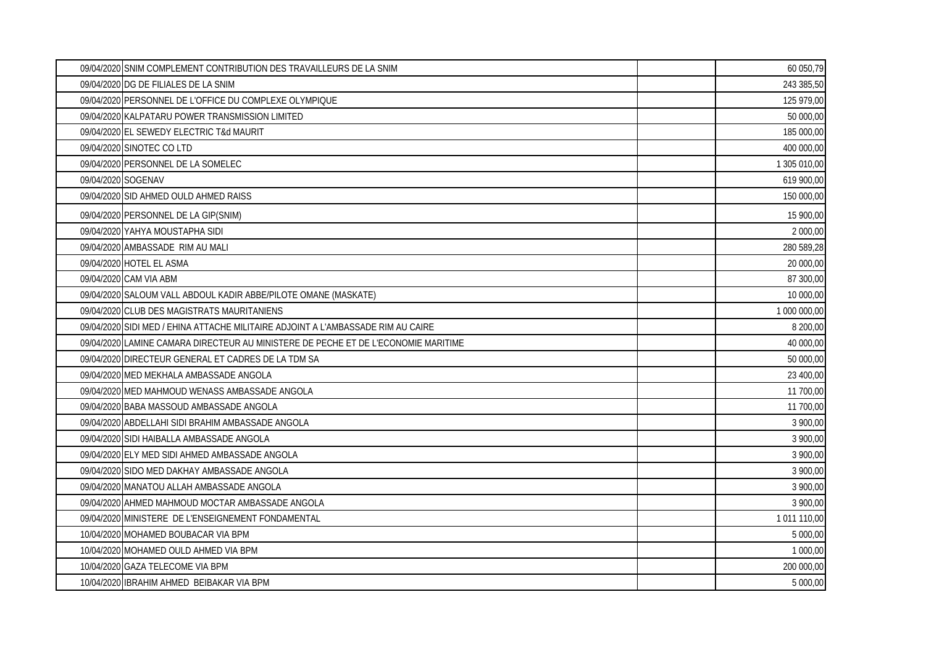|                    | 09/04/2020 SNIM COMPLEMENT CONTRIBUTION DES TRAVAILLEURS DE LA SNIM                | 60 050,79    |
|--------------------|------------------------------------------------------------------------------------|--------------|
|                    | 09/04/2020 DG DE FILIALES DE LA SNIM                                               | 243 385,50   |
|                    | 09/04/2020 PERSONNEL DE L'OFFICE DU COMPLEXE OLYMPIQUE                             | 125 979,00   |
|                    | 09/04/2020 KALPATARU POWER TRANSMISSION LIMITED                                    | 50 000,00    |
|                    | 09/04/2020 EL SEWEDY ELECTRIC T&d MAURIT                                           | 185 000,00   |
|                    | 09/04/2020 SINOTEC CO LTD                                                          | 400 000,00   |
|                    | 09/04/2020 PERSONNEL DE LA SOMELEC                                                 | 1 305 010,00 |
| 09/04/2020 SOGENAV |                                                                                    | 619 900,00   |
|                    | 09/04/2020 SID AHMED OULD AHMED RAISS                                              | 150 000,00   |
|                    | 09/04/2020 PERSONNEL DE LA GIP(SNIM)                                               | 15 900,00    |
|                    | 09/04/2020 YAHYA MOUSTAPHA SIDI                                                    | 2 000,00     |
|                    | 09/04/2020 AMBASSADE RIM AU MALI                                                   | 280 589,28   |
|                    | 09/04/2020 HOTEL EL ASMA                                                           | 20 000,00    |
|                    | 09/04/2020 CAM VIA ABM                                                             | 87 300,00    |
|                    | 09/04/2020 SALOUM VALL ABDOUL KADIR ABBE/PILOTE OMANE (MASKATE)                    | 10 000,00    |
|                    | 09/04/2020 CLUB DES MAGISTRATS MAURITANIENS                                        | 1 000 000,00 |
|                    | 09/04/2020 SIDI MED / EHINA ATTACHE MILITAIRE ADJOINT A L'AMBASSADE RIM AU CAIRE   | 8 200,00     |
|                    | 09/04/2020 LAMINE CAMARA DIRECTEUR AU MINISTERE DE PECHE ET DE L'ECONOMIE MARITIME | 40 000,00    |
|                    | 09/04/2020 DIRECTEUR GENERAL ET CADRES DE LA TDM SA                                | 50 000,00    |
|                    | 09/04/2020 MED MEKHALA AMBASSADE ANGOLA                                            | 23 400,00    |
|                    | 09/04/2020 MED MAHMOUD WENASS AMBASSADE ANGOLA                                     | 11 700,00    |
|                    | 09/04/2020 BABA MASSOUD AMBASSADE ANGOLA                                           | 11 700,00    |
|                    | 09/04/2020 ABDELLAHI SIDI BRAHIM AMBASSADE ANGOLA                                  | 3 900,00     |
|                    | 09/04/2020 SIDI HAIBALLA AMBASSADE ANGOLA                                          | 3 900,00     |
|                    | 09/04/2020 ELY MED SIDI AHMED AMBASSADE ANGOLA                                     | 3 900,00     |
|                    | 09/04/2020 SIDO MED DAKHAY AMBASSADE ANGOLA                                        | 3 900,00     |
|                    | 09/04/2020 MANATOU ALLAH AMBASSADE ANGOLA                                          | 3 900,00     |
|                    | 09/04/2020 AHMED MAHMOUD MOCTAR AMBASSADE ANGOLA                                   | 3 900,00     |
|                    | 09/04/2020 MINISTERE DE L'ENSEIGNEMENT FONDAMENTAL                                 | 1011110,00   |
|                    | 10/04/2020 MOHAMED BOUBACAR VIA BPM                                                | 5 000,00     |
|                    | 10/04/2020 MOHAMED OULD AHMED VIA BPM                                              | 1 000,00     |
|                    | 10/04/2020 GAZA TELECOME VIA BPM                                                   | 200 000,00   |
|                    | 10/04/2020 IBRAHIM AHMED BEIBAKAR VIA BPM                                          | 5 000,00     |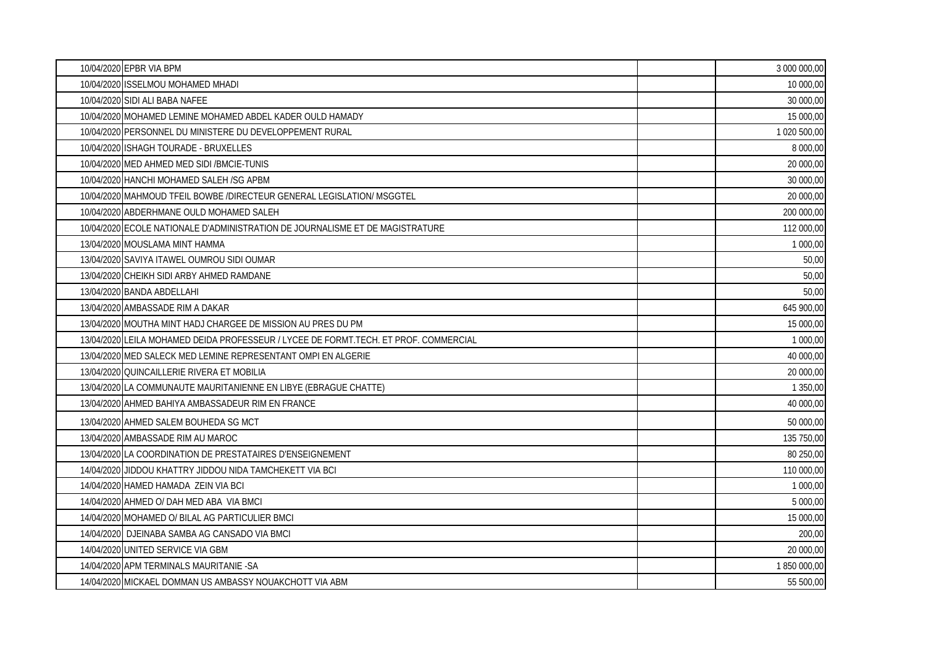| 10/04/2020 EPBR VIA BPM                                                              | 3 000 000,00 |
|--------------------------------------------------------------------------------------|--------------|
| 10/04/2020 ISSELMOU MOHAMED MHADI                                                    | 10 000,00    |
| 10/04/2020 SIDI ALI BABA NAFEE                                                       | 30 000,00    |
| 10/04/2020 MOHAMED LEMINE MOHAMED ABDEL KADER OULD HAMADY                            | 15 000,00    |
| 10/04/2020 PERSONNEL DU MINISTERE DU DEVELOPPEMENT RURAL                             | 1 020 500,00 |
| 10/04/2020 ISHAGH TOURADE - BRUXELLES                                                | 8 000,00     |
| 10/04/2020 MED AHMED MED SIDI /BMCIE-TUNIS                                           | 20 000,00    |
| 10/04/2020 HANCHI MOHAMED SALEH /SG APBM                                             | 30 000,00    |
| 10/04/2020 MAHMOUD TFEIL BOWBE /DIRECTEUR GENERAL LEGISLATION/ MSGGTEL               | 20 000,00    |
| 10/04/2020 ABDERHMANE OULD MOHAMED SALEH                                             | 200 000,00   |
| 10/04/2020 ECOLE NATIONALE D'ADMINISTRATION DE JOURNALISME ET DE MAGISTRATURE        | 112 000,00   |
| 13/04/2020 MOUSLAMA MINT HAMMA                                                       | 1 000,00     |
| 13/04/2020 SAVIYA ITAWEL OUMROU SIDI OUMAR                                           | 50,00        |
| 13/04/2020 CHEIKH SIDI ARBY AHMED RAMDANE                                            | 50,00        |
| 13/04/2020 BANDA ABDELLAHI                                                           | 50,00        |
| 13/04/2020 AMBASSADE RIM A DAKAR                                                     | 645 900,00   |
| 13/04/2020 MOUTHA MINT HADJ CHARGEE DE MISSION AU PRES DU PM                         | 15 000,00    |
| 13/04/2020 LEILA MOHAMED DEIDA PROFESSEUR / LYCEE DE FORMT.TECH. ET PROF. COMMERCIAL | 1 000,00     |
| 13/04/2020 MED SALECK MED LEMINE REPRESENTANT OMPI EN ALGERIE                        | 40 000,00    |
| 13/04/2020 QUINCAILLERIE RIVERA ET MOBILIA                                           | 20 000,00    |
| 13/04/2020 LA COMMUNAUTE MAURITANIENNE EN LIBYE (EBRAGUE CHATTE)                     | 1 350,00     |
| 13/04/2020 AHMED BAHIYA AMBASSADEUR RIM EN FRANCE                                    | 40 000,00    |
| 13/04/2020 AHMED SALEM BOUHEDA SG MCT                                                | 50 000,00    |
| 13/04/2020 AMBASSADE RIM AU MAROC                                                    | 135 750,00   |
| 13/04/2020 LA COORDINATION DE PRESTATAIRES D'ENSEIGNEMENT                            | 80 250,00    |
| 14/04/2020 JJIDDOU KHATTRY JIDDOU NIDA TAMCHEKETT VIA BCI                            | 110 000,00   |
| 14/04/2020 HAMED HAMADA ZEIN VIA BCI                                                 | 1 000,00     |
| 14/04/2020 AHMED O/ DAH MED ABA VIA BMCI                                             | 5 000,00     |
| 14/04/2020 MOHAMED O/ BILAL AG PARTICULIER BMCI                                      | 15 000,00    |
| 14/04/2020 DJEINABA SAMBA AG CANSADO VIA BMCI                                        | 200,00       |
| 14/04/2020 UNITED SERVICE VIA GBM                                                    | 20 000,00    |
| 14/04/2020 APM TERMINALS MAURITANIE - SA                                             | 1850000,00   |
| 14/04/2020 MICKAEL DOMMAN US AMBASSY NOUAKCHOTT VIA ABM                              | 55 500,00    |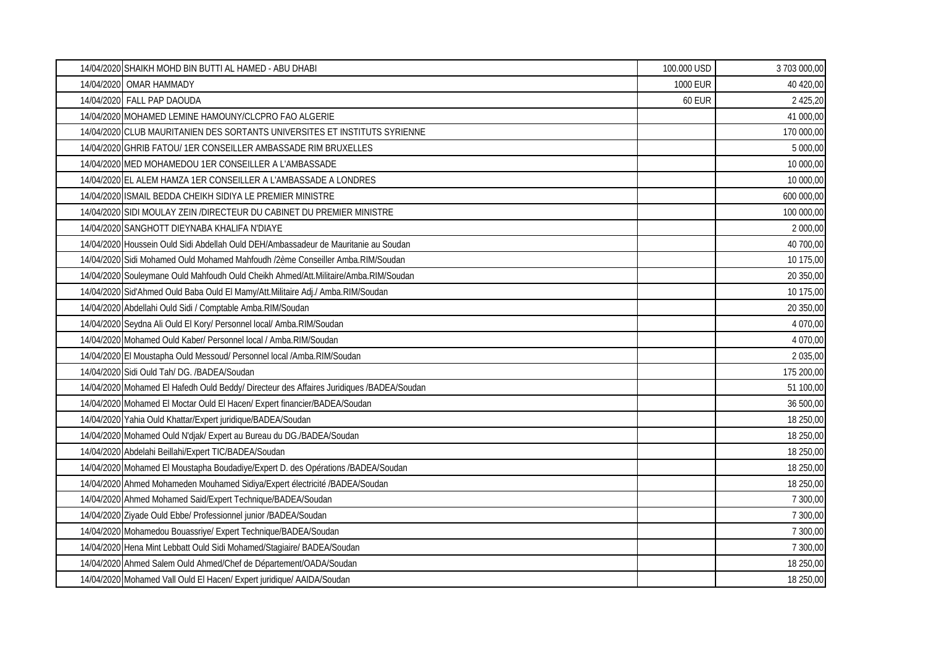| 14/04/2020 SHAIKH MOHD BIN BUTTI AL HAMED - ABU DHABI                                    | 100.000 USD     | 3 703 000,00 |
|------------------------------------------------------------------------------------------|-----------------|--------------|
| 14/04/2020 OMAR HAMMADY                                                                  | <b>1000 EUR</b> | 40 420,00    |
| 14/04/2020 FALL PAP DAOUDA                                                               | <b>60 EUR</b>   | 2 425,20     |
| 14/04/2020 MOHAMED LEMINE HAMOUNY/CLCPRO FAO ALGERIE                                     |                 | 41 000,00    |
| 14/04/2020 CLUB MAURITANIEN DES SORTANTS UNIVERSITES ET INSTITUTS SYRIENNE               |                 | 170 000,00   |
| 14/04/2020 GHRIB FATOU/ 1ER CONSEILLER AMBASSADE RIM BRUXELLES                           |                 | 5 000,00     |
| 14/04/2020 MED MOHAMEDOU 1ER CONSEILLER A L'AMBASSADE                                    |                 | 10 000,00    |
| 14/04/2020 EL ALEM HAMZA 1ER CONSEILLER A L'AMBASSADE A LONDRES                          |                 | 10 000,00    |
| 14/04/2020 ISMAIL BEDDA CHEIKH SIDIYA LE PREMIER MINISTRE                                |                 | 600 000,00   |
| 14/04/2020 SIDI MOULAY ZEIN /DIRECTEUR DU CABINET DU PREMIER MINISTRE                    |                 | 100 000,00   |
| 14/04/2020 SANGHOTT DIEYNABA KHALIFA N'DIAYE                                             |                 | 2 000,00     |
| 14/04/2020 Houssein Ould Sidi Abdellah Ould DEH/Ambassadeur de Mauritanie au Soudan      |                 | 40 700,00    |
| 14/04/2020 Sidi Mohamed Ould Mohamed Mahfoudh /2ème Conseiller Amba.RIM/Soudan           |                 | 10 175,00    |
| 14/04/2020 Souleymane Ould Mahfoudh Ould Cheikh Ahmed/Att.Militaire/Amba.RIM/Soudan      |                 | 20 350,00    |
| 14/04/2020 Sid'Ahmed Ould Baba Ould El Mamy/Att.Militaire Adj./ Amba.RIM/Soudan          |                 | 10 175,00    |
| 14/04/2020 Abdellahi Ould Sidi / Comptable Amba.RIM/Soudan                               |                 | 20 350,00    |
| 14/04/2020 Seydna Ali Ould El Kory/ Personnel local/ Amba.RIM/Soudan                     |                 | 4 070,00     |
| 14/04/2020 Mohamed Ould Kaber/ Personnel local / Amba.RIM/Soudan                         |                 | 4 070,00     |
| 14/04/2020 El Moustapha Ould Messoud/ Personnel local /Amba.RIM/Soudan                   |                 | 2 035,00     |
| 14/04/2020 Sidi Ould Tah/ DG. /BADEA/Soudan                                              |                 | 175 200,00   |
| 14/04/2020 Mohamed El Hafedh Ould Beddy/ Directeur des Affaires Juridiques /BADEA/Soudan |                 | 51 100,00    |
| 14/04/2020 Mohamed El Moctar Ould El Hacen/ Expert financier/BADEA/Soudan                |                 | 36 500,00    |
| 14/04/2020 Yahia Ould Khattar/Expert juridique/BADEA/Soudan                              |                 | 18 250,00    |
| 14/04/2020 Mohamed Ould N'djak/ Expert au Bureau du DG./BADEA/Soudan                     |                 | 18 250,00    |
| 14/04/2020 Abdelahi Beillahi/Expert TIC/BADEA/Soudan                                     |                 | 18 250,00    |
| 14/04/2020 Mohamed El Moustapha Boudadiye/Expert D. des Opérations /BADEA/Soudan         |                 | 18 250,00    |
| 14/04/2020 Ahmed Mohameden Mouhamed Sidiya/Expert électricité /BADEA/Soudan              |                 | 18 250,00    |
| 14/04/2020 Ahmed Mohamed Said/Expert Technique/BADEA/Soudan                              |                 | 7 300,00     |
| 14/04/2020 Ziyade Ould Ebbe/ Professionnel junior /BADEA/Soudan                          |                 | 7 300,00     |
| 14/04/2020 Mohamedou Bouassriye/ Expert Technique/BADEA/Soudan                           |                 | 7 300,00     |
| 14/04/2020 Hena Mint Lebbatt Ould Sidi Mohamed/Stagiaire/ BADEA/Soudan                   |                 | 7 300,00     |
| 14/04/2020 Ahmed Salem Ould Ahmed/Chef de Département/OADA/Soudan                        |                 | 18 250,00    |
| 14/04/2020 Mohamed Vall Ould El Hacen/ Expert juridique/ AAIDA/Soudan                    |                 | 18 250,00    |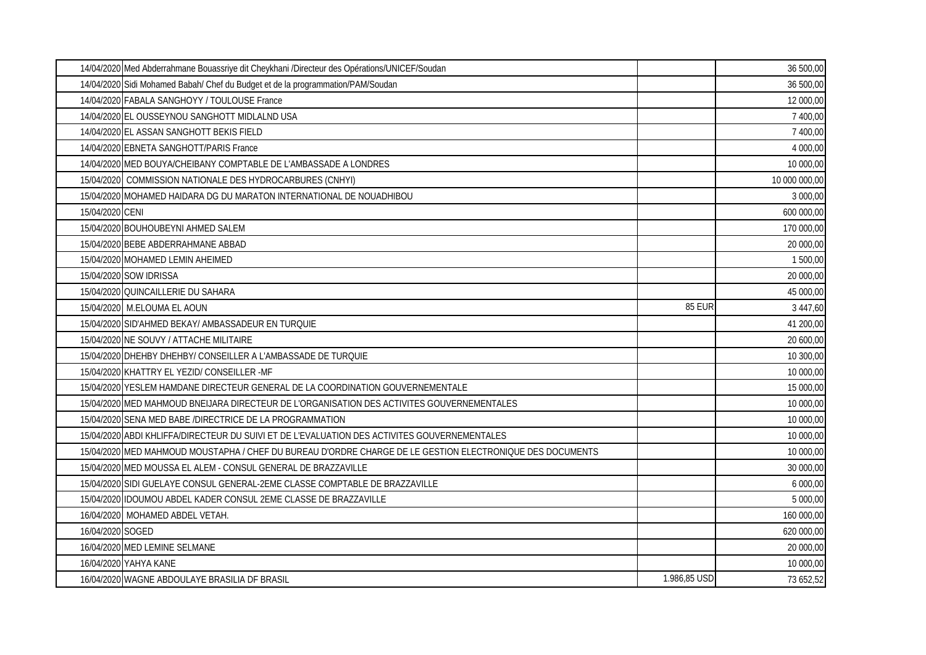|                  | 14/04/2020 Med Abderrahmane Bouassriye dit Cheykhani /Directeur des Opérations/UNICEF/Soudan              |               | 36 500,00     |
|------------------|-----------------------------------------------------------------------------------------------------------|---------------|---------------|
|                  | 14/04/2020 Sidi Mohamed Babah/ Chef du Budget et de la programmation/PAM/Soudan                           |               | 36 500,00     |
|                  | 14/04/2020 FABALA SANGHOYY / TOULOUSE France                                                              |               | 12 000,00     |
|                  | 14/04/2020 EL OUSSEYNOU SANGHOTT MIDLALND USA                                                             |               | 7 400,00      |
|                  | 14/04/2020 EL ASSAN SANGHOTT BEKIS FIELD                                                                  |               | 7 400,00      |
|                  | 14/04/2020 EBNETA SANGHOTT/PARIS France                                                                   |               | 4 000,00      |
|                  | 14/04/2020 MED BOUYA/CHEIBANY COMPTABLE DE L'AMBASSADE A LONDRES                                          |               | 10 000,00     |
|                  | 15/04/2020 COMMISSION NATIONALE DES HYDROCARBURES (CNHYI)                                                 |               | 10 000 000,00 |
|                  | 15/04/2020 MOHAMED HAIDARA DG DU MARATON INTERNATIONAL DE NOUADHIBOU                                      |               | 3 000,00      |
| 15/04/2020 CENI  |                                                                                                           |               | 600 000,00    |
|                  | 15/04/2020 BOUHOUBEYNI AHMED SALEM                                                                        |               | 170 000,00    |
|                  | 15/04/2020 BEBE ABDERRAHMANE ABBAD                                                                        |               | 20 000,00     |
|                  | 15/04/2020 MOHAMED LEMIN AHEIMED                                                                          |               | 1 500,00      |
|                  | 15/04/2020 SOW IDRISSA                                                                                    |               | 20 000,00     |
|                  | 15/04/2020 QUINCAILLERIE DU SAHARA                                                                        |               | 45 000,00     |
|                  | 15/04/2020 M.ELOUMA EL AOUN                                                                               | <b>85 EUR</b> | 3 447,60      |
|                  | 15/04/2020 SID'AHMED BEKAY/ AMBASSADEUR EN TURQUIE                                                        |               | 41 200,00     |
|                  | 15/04/2020 NE SOUVY / ATTACHE MILITAIRE                                                                   |               | 20 600,00     |
|                  | 15/04/2020 DHEHBY DHEHBY/ CONSEILLER A L'AMBASSADE DE TURQUIE                                             |               | 10 300,00     |
|                  | 15/04/2020 KHATTRY EL YEZID/ CONSEILLER -MF                                                               |               | 10 000,00     |
|                  | 15/04/2020   YESLEM HAMDANE DIRECTEUR GENERAL DE LA COORDINATION GOUVERNEMENTALE                          |               | 15 000,00     |
|                  | 15/04/2020 MED MAHMOUD BNEIJARA DIRECTEUR DE L'ORGANISATION DES ACTIVITES GOUVERNEMENTALES                |               | 10 000,00     |
|                  | 15/04/2020 SENA MED BABE /DIRECTRICE DE LA PROGRAMMATION                                                  |               | 10 000,00     |
|                  | 15/04/2020 ABDI KHLIFFA/DIRECTEUR DU SUIVI ET DE L'EVALUATION DES ACTIVITES GOUVERNEMENTALES              |               | 10 000,00     |
|                  | 15/04/2020 MED MAHMOUD MOUSTAPHA / CHEF DU BUREAU D'ORDRE CHARGE DE LE GESTION ELECTRONIQUE DES DOCUMENTS |               | 10 000,00     |
|                  | 15/04/2020 MED MOUSSA EL ALEM - CONSUL GENERAL DE BRAZZAVILLE                                             |               | 30 000,00     |
|                  | 15/04/2020 SIDI GUELAYE CONSUL GENERAL-2EME CLASSE COMPTABLE DE BRAZZAVILLE                               |               | 6 000,00      |
|                  | 15/04/2020 IDOUMOU ABDEL KADER CONSUL 2EME CLASSE DE BRAZZAVILLE                                          |               | 5 000,00      |
|                  | 16/04/2020 MOHAMED ABDEL VETAH.                                                                           |               | 160 000,00    |
| 16/04/2020 SOGED |                                                                                                           |               | 620 000,00    |
|                  | 16/04/2020 MED LEMINE SELMANE                                                                             |               | 20 000,00     |
|                  | 16/04/2020 YAHYA KANE                                                                                     |               | 10 000,00     |
|                  | 16/04/2020 WAGNE ABDOULAYE BRASILIA DF BRASIL                                                             | 1.986,85 USD  | 73 652,52     |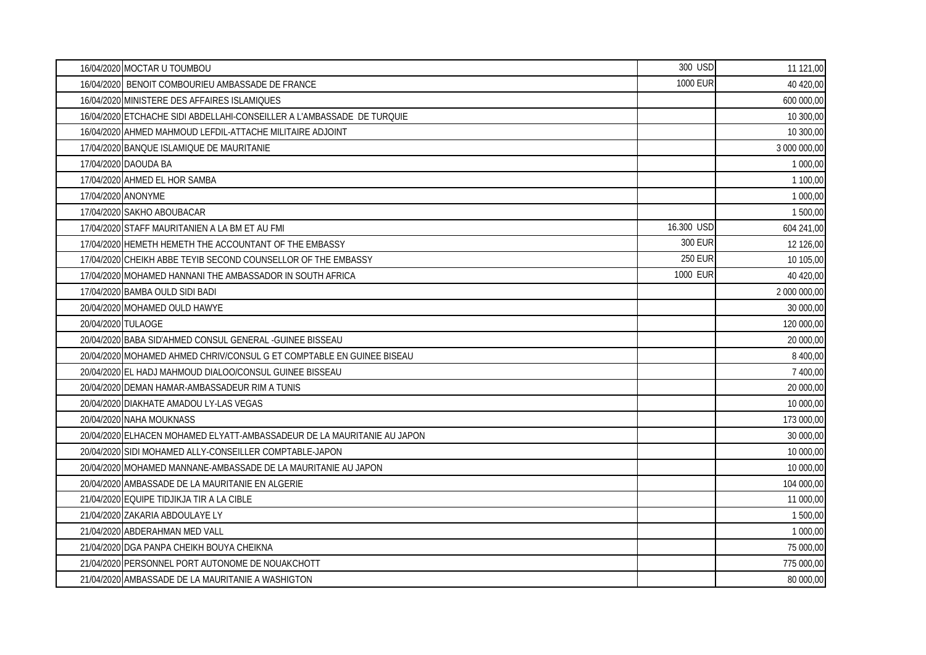|                    | 16/04/2020 MOCTAR U TOUMBOU                                             | 300 USD         | 11 121,00    |
|--------------------|-------------------------------------------------------------------------|-----------------|--------------|
|                    | 16/04/2020 BENOIT COMBOURIEU AMBASSADE DE FRANCE                        | <b>1000 EUR</b> | 40 420,00    |
|                    | 16/04/2020 MINISTERE DES AFFAIRES ISLAMIQUES                            |                 | 600 000,00   |
|                    | 16/04/2020 ETCHACHE SIDI ABDELLAHI-CONSEILLER A L'AMBASSADE DE TURQUIE  |                 | 10 300,00    |
|                    | 16/04/2020 AHMED MAHMOUD LEFDIL-ATTACHE MILITAIRE ADJOINT               |                 | 10 300,00    |
|                    | 17/04/2020 BANQUE ISLAMIQUE DE MAURITANIE                               |                 | 3 000 000,00 |
|                    | 17/04/2020 DAOUDA BA                                                    |                 | 1 000,00     |
|                    | 17/04/2020 AHMED EL HOR SAMBA                                           |                 | 1 100,00     |
|                    | 17/04/2020 ANONYME                                                      |                 | 1 000,00     |
|                    | 17/04/2020 SAKHO ABOUBACAR                                              |                 | 1500,00      |
|                    | 17/04/2020 STAFF MAURITANIEN A LA BM ET AU FMI                          | 16.300 USD      | 604 241,00   |
|                    | 17/04/2020 HEMETH HEMETH THE ACCOUNTANT OF THE EMBASSY                  | <b>300 EUR</b>  | 12 126,00    |
|                    | 17/04/2020 CHEIKH ABBE TEYIB SECOND COUNSELLOR OF THE EMBASSY           | <b>250 EUR</b>  | 10 105,00    |
|                    | 17/04/2020 MOHAMED HANNANI THE AMBASSADOR IN SOUTH AFRICA               | <b>1000 EUR</b> | 40 420,00    |
|                    | 17/04/2020 BAMBA OULD SIDI BADI                                         |                 | 2 000 000,00 |
|                    | 20/04/2020 MOHAMED OULD HAWYE                                           |                 | 30 000,00    |
| 20/04/2020 TULAOGE |                                                                         |                 | 120 000,00   |
|                    | 20/04/2020 BABA SID'AHMED CONSUL GENERAL - GUINEE BISSEAU               |                 | 20 000,00    |
|                    | 20/04/2020 MOHAMED AHMED CHRIV/CONSUL G ET COMPTABLE EN GUINEE BISEAU   |                 | 8 400,00     |
|                    | 20/04/2020 EL HADJ MAHMOUD DIALOO/CONSUL GUINEE BISSEAU                 |                 | 7 400,00     |
|                    | 20/04/2020 DEMAN HAMAR-AMBASSADEUR RIM A TUNIS                          |                 | 20 000,00    |
|                    | 20/04/2020 DIAKHATE AMADOU LY-LAS VEGAS                                 |                 | 10 000,00    |
|                    | 20/04/2020 NAHA MOUKNASS                                                |                 | 173 000,00   |
|                    | 20/04/2020 ELHACEN MOHAMED ELYATT-AMBASSADEUR DE LA MAURITANIE AU JAPON |                 | 30 000,00    |
|                    | 20/04/2020 SIDI MOHAMED ALLY-CONSEILLER COMPTABLE-JAPON                 |                 | 10 000,00    |
|                    | 20/04/2020 MOHAMED MANNANE-AMBASSADE DE LA MAURITANIE AU JAPON          |                 | 10 000,00    |
|                    | 20/04/2020 AMBASSADE DE LA MAURITANIE EN ALGERIE                        |                 | 104 000,00   |
|                    | 21/04/2020 EQUIPE TIDJIKJA TIR A LA CIBLE                               |                 | 11 000,00    |
|                    | 21/04/2020 ZAKARIA ABDOULAYE LY                                         |                 | 1500,00      |
|                    | 21/04/2020 ABDERAHMAN MED VALL                                          |                 | 1 000,00     |
|                    | 21/04/2020 DGA PANPA CHEIKH BOUYA CHEIKNA                               |                 | 75 000,00    |
|                    | 21/04/2020 PERSONNEL PORT AUTONOME DE NOUAKCHOTT                        |                 | 775 000,00   |
|                    | 21/04/2020 AMBASSADE DE LA MAURITANIE A WASHIGTON                       |                 | 80 000,00    |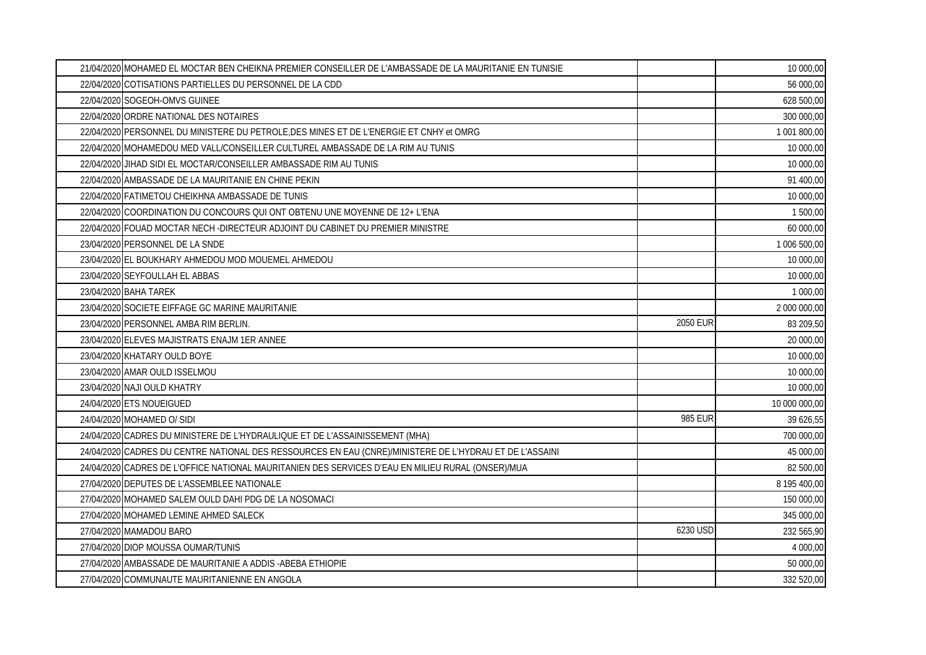| 21/04/2020 MOHAMED EL MOCTAR BEN CHEIKNA PREMIER CONSEILLER DE L'AMBASSADE DE LA MAURITANIE EN TUNISIE  |                | 10 000,00     |
|---------------------------------------------------------------------------------------------------------|----------------|---------------|
| 22/04/2020 COTISATIONS PARTIELLES DU PERSONNEL DE LA CDD                                                |                | 56 000,00     |
| 22/04/2020 SOGEOH-OMVS GUINEE                                                                           |                | 628 500,00    |
| 22/04/2020 ORDRE NATIONAL DES NOTAIRES                                                                  |                | 300 000,00    |
| 22/04/2020 PERSONNEL DU MINISTERE DU PETROLE, DES MINES ET DE L'ENERGIE ET CNHY et OMRG                 |                | 1 001 800,00  |
| 22/04/2020 MOHAMEDOU MED VALL/CONSEILLER CULTUREL AMBASSADE DE LA RIM AU TUNIS                          |                | 10 000,00     |
| 22/04/2020 JJIHAD SIDI EL MOCTAR/CONSEILLER AMBASSADE RIM AU TUNIS                                      |                | 10 000,00     |
| 22/04/2020 AMBASSADE DE LA MAURITANIE EN CHINE PEKIN                                                    |                | 91 400,00     |
| 22/04/2020 FATIMETOU CHEIKHNA AMBASSADE DE TUNIS                                                        |                | 10 000,00     |
| 22/04/2020 COORDINATION DU CONCOURS QUI ONT OBTENU UNE MOYENNE DE 12+ L'ENA                             |                | 1 500,00      |
| 22/04/2020 FOUAD MOCTAR NECH - DIRECTEUR ADJOINT DU CABINET DU PREMIER MINISTRE                         |                | 60 000,00     |
| 23/04/2020 PERSONNEL DE LA SNDE                                                                         |                | 1 006 500,00  |
| 23/04/2020 EL BOUKHARY AHMEDOU MOD MOUEMEL AHMEDOU                                                      |                | 10 000,00     |
| 23/04/2020 SEYFOULLAH EL ABBAS                                                                          |                | 10 000,00     |
| 23/04/2020 BAHA TAREK                                                                                   |                | 1 000,00      |
| 23/04/2020 SOCIETE EIFFAGE GC MARINE MAURITANIE                                                         |                | 2 000 000,00  |
| 23/04/2020 PERSONNEL AMBA RIM BERLIN.                                                                   | 2050 EUR       | 83 209,50     |
| 23/04/2020 ELEVES MAJISTRATS ENAJM 1ER ANNEE                                                            |                | 20 000,00     |
| 23/04/2020 KHATARY OULD BOYE                                                                            |                | 10 000,00     |
| 23/04/2020 AMAR OULD ISSELMOU                                                                           |                | 10 000,00     |
| 23/04/2020 NAJI OULD KHATRY                                                                             |                | 10 000,00     |
| 24/04/2020 ETS NOUEIGUED                                                                                |                | 10 000 000,00 |
| 24/04/2020 MOHAMED O/ SIDI                                                                              | <b>985 EUR</b> | 39 626,55     |
| 24/04/2020 CADRES DU MINISTERE DE L'HYDRAULIQUE ET DE L'ASSAINISSEMENT (MHA)                            |                | 700 000,00    |
| 24/04/2020 CADRES DU CENTRE NATIONAL DES RESSOURCES EN EAU (CNRE)/MINISTERE DE L'HYDRAU ET DE L'ASSAINI |                | 45 000,00     |
| 24/04/2020 CADRES DE L'OFFICE NATIONAL MAURITANIEN DES SERVICES D'EAU EN MILIEU RURAL (ONSER)/MUA       |                | 82 500,00     |
| 27/04/2020 DEPUTES DE L'ASSEMBLEE NATIONALE                                                             |                | 8 195 400,00  |
| 27/04/2020 MOHAMED SALEM OULD DAHI PDG DE LA NOSOMACI                                                   |                | 150 000,00    |
| 27/04/2020 MOHAMED LEMINE AHMED SALECK                                                                  |                | 345 000,00    |
| 27/04/2020 MAMADOU BARO                                                                                 | 6230 USD       | 232 565,90    |
| 27/04/2020 DIOP MOUSSA OUMAR/TUNIS                                                                      |                | 4 000,00      |
| 27/04/2020 AMBASSADE DE MAURITANIE A ADDIS -ABEBA ETHIOPIE                                              |                | 50 000,00     |
| 27/04/2020 COMMUNAUTE MAURITANIENNE EN ANGOLA                                                           |                | 332 520,00    |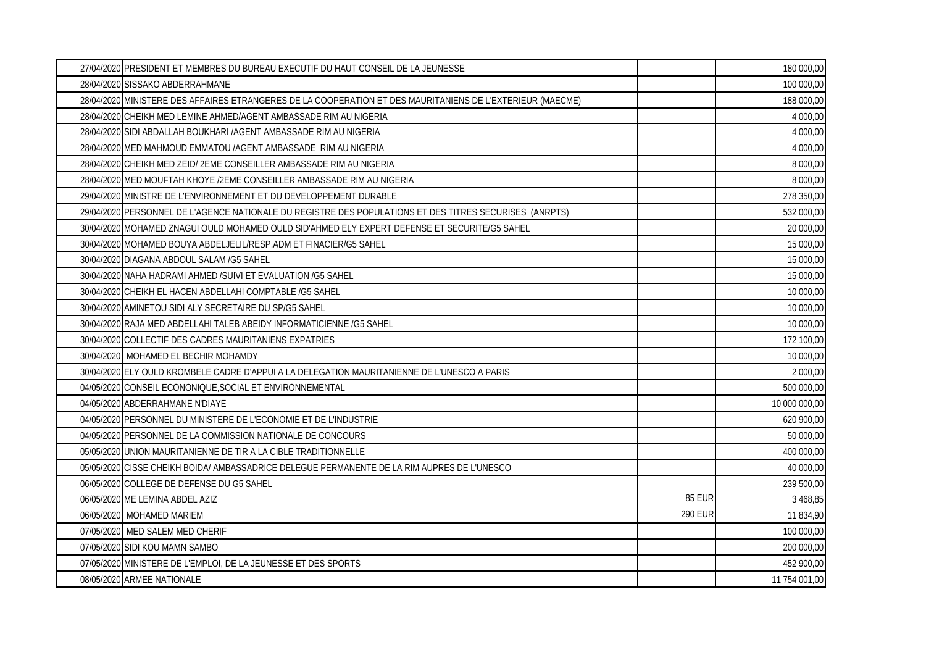| 27/04/2020 PRESIDENT ET MEMBRES DU BUREAU EXECUTIF DU HAUT CONSEIL DE LA JEUNESSE                          |                | 180 000,00    |
|------------------------------------------------------------------------------------------------------------|----------------|---------------|
| 28/04/2020 SISSAKO ABDERRAHMANE                                                                            |                | 100 000,00    |
| 28/04/2020 MINISTERE DES AFFAIRES ETRANGERES DE LA COOPERATION ET DES MAURITANIENS DE L'EXTERIEUR (MAECME) |                | 188 000,00    |
| 28/04/2020 CHEIKH MED LEMINE AHMED/AGENT AMBASSADE RIM AU NIGERIA                                          |                | 4 000,00      |
| 28/04/2020 SIDI ABDALLAH BOUKHARI /AGENT AMBASSADE RIM AU NIGERIA                                          |                | 4 000,00      |
| 28/04/2020 MED MAHMOUD EMMATOU /AGENT AMBASSADE RIM AU NIGERIA                                             |                | 4 000,00      |
| 28/04/2020 CHEIKH MED ZEID/ 2EME CONSEILLER AMBASSADE RIM AU NIGERIA                                       |                | 8 000,00      |
| 28/04/2020 MED MOUFTAH KHOYE /2EME CONSEILLER AMBASSADE RIM AU NIGERIA                                     |                | 8 000,00      |
| 29/04/2020 MINISTRE DE L'ENVIRONNEMENT ET DU DEVELOPPEMENT DURABLE                                         |                | 278 350,00    |
| 29/04/2020 PERSONNEL DE L'AGENCE NATIONALE DU REGISTRE DES POPULATIONS ET DES TITRES SECURISES (ANRPTS)    |                | 532 000,00    |
| 30/04/2020 MOHAMED ZNAGUI OULD MOHAMED OULD SID'AHMED ELY EXPERT DEFENSE ET SECURITE/G5 SAHEL              |                | 20 000,00     |
| 30/04/2020 MOHAMED BOUYA ABDELJELIL/RESP.ADM ET FINACIER/G5 SAHEL                                          |                | 15 000,00     |
| 30/04/2020 DIAGANA ABDOUL SALAM /G5 SAHEL                                                                  |                | 15 000,00     |
| 30/04/2020 NAHA HADRAMI AHMED /SUIVI ET EVALUATION /G5 SAHEL                                               |                | 15 000,00     |
| 30/04/2020 CHEIKH EL HACEN ABDELLAHI COMPTABLE /G5 SAHEL                                                   |                | 10 000,00     |
| 30/04/2020 AMINETOU SIDI ALY SECRETAIRE DU SP/G5 SAHEL                                                     |                | 10 000,00     |
| 30/04/2020 RAJA MED ABDELLAHI TALEB ABEIDY INFORMATICIENNE / G5 SAHEL                                      |                | 10 000,00     |
| 30/04/2020 COLLECTIF DES CADRES MAURITANIENS EXPATRIES                                                     |                | 172 100,00    |
| 30/04/2020 MOHAMED EL BECHIR MOHAMDY                                                                       |                | 10 000,00     |
| 30/04/2020 ELY OULD KROMBELE CADRE D'APPUI A LA DELEGATION MAURITANIENNE DE L'UNESCO A PARIS               |                | 2 000,00      |
| 04/05/2020 CONSEIL ECONONIQUE, SOCIAL ET ENVIRONNEMENTAL                                                   |                | 500 000,00    |
| 04/05/2020 ABDERRAHMANE N'DIAYE                                                                            |                | 10 000 000,00 |
| 04/05/2020 PERSONNEL DU MINISTERE DE L'ECONOMIE ET DE L'INDUSTRIE                                          |                | 620 900,00    |
| 04/05/2020 PERSONNEL DE LA COMMISSION NATIONALE DE CONCOURS                                                |                | 50 000,00     |
| 05/05/2020 UNION MAURITANIENNE DE TIR A LA CIBLE TRADITIONNELLE                                            |                | 400 000,00    |
| 05/05/2020 CISSE CHEIKH BOIDA/ AMBASSADRICE DELEGUE PERMANENTE DE LA RIM AUPRES DE L'UNESCO                |                | 40 000,00     |
| 06/05/2020 COLLEGE DE DEFENSE DU G5 SAHEL                                                                  |                | 239 500,00    |
| 06/05/2020 ME LEMINA ABDEL AZIZ                                                                            | <b>85 EUR</b>  | 3 468,85      |
| 06/05/2020 MOHAMED MARIEM                                                                                  | <b>290 EUR</b> | 11 834,90     |
| 07/05/2020 MED SALEM MED CHERIF                                                                            |                | 100 000,00    |
| 07/05/2020 SIDI KOU MAMN SAMBO                                                                             |                | 200 000,00    |
| 07/05/2020 MINISTERE DE L'EMPLOI, DE LA JEUNESSE ET DES SPORTS                                             |                | 452 900,00    |
| 08/05/2020 ARMEE NATIONALE                                                                                 |                | 11 754 001,00 |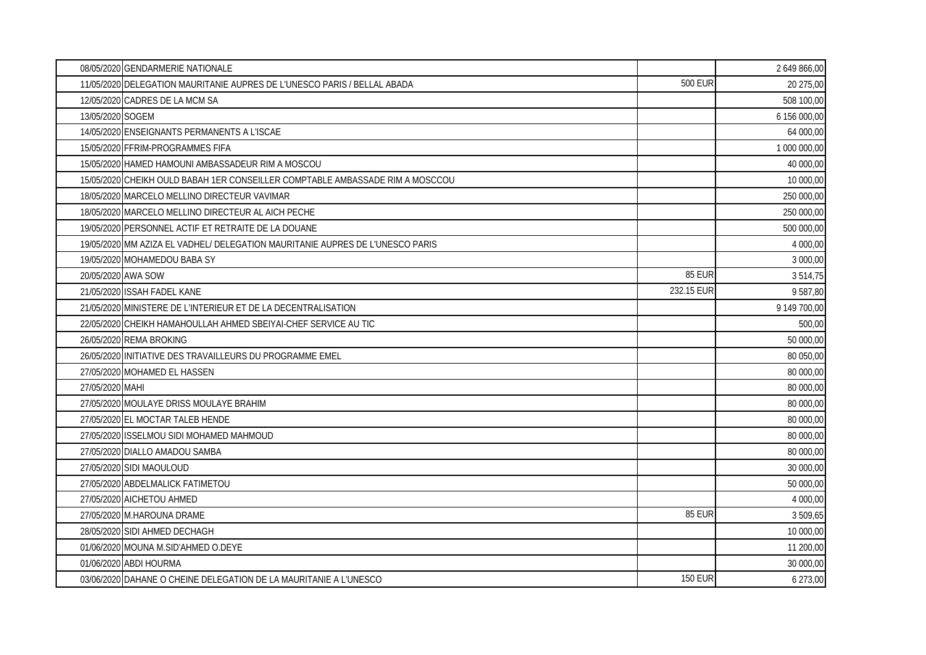|                  | 08/05/2020 GENDARMERIE NATIONALE                                              |                | 2 649 866,00 |
|------------------|-------------------------------------------------------------------------------|----------------|--------------|
|                  | 11/05/2020 DELEGATION MAURITANIE AUPRES DE L'UNESCO PARIS / BELLAL ABADA      | <b>500 EUR</b> | 20 275,00    |
|                  | 12/05/2020 CADRES DE LA MCM SA                                                |                | 508 100,00   |
| 13/05/2020 SOGEM |                                                                               |                | 6 156 000,00 |
|                  | 14/05/2020 ENSEIGNANTS PERMANENTS A L'ISCAE                                   |                | 64 000,00    |
|                  | 15/05/2020 FFRIM-PROGRAMMES FIFA                                              |                | 1 000 000,00 |
|                  | 15/05/2020 HAMED HAMOUNI AMBASSADEUR RIM A MOSCOU                             |                | 40 000,00    |
|                  | 15/05/2020 CHEIKH OULD BABAH 1ER CONSEILLER COMPTABLE AMBASSADE RIM A MOSCCOU |                | 10 000,00    |
|                  | 18/05/2020 MARCELO MELLINO DIRECTEUR VAVIMAR                                  |                | 250 000,00   |
|                  | 18/05/2020 MARCELO MELLINO DIRECTEUR AL AICH PECHE                            |                | 250 000,00   |
|                  | 19/05/2020 PERSONNEL ACTIF ET RETRAITE DE LA DOUANE                           |                | 500 000,00   |
|                  | 19/05/2020 MM AZIZA EL VADHEL/ DELEGATION MAURITANIE AUPRES DE L'UNESCO PARIS |                | 4 000,00     |
|                  | 19/05/2020 MOHAMEDOU BABA SY                                                  |                | 3 000,00     |
|                  | 20/05/2020 AWA SOW                                                            | <b>85 EUR</b>  | 3514,75      |
|                  | 21/05/2020 ISSAH FADEL KANE                                                   | 232.15 EUR     | 9587,80      |
|                  | 21/05/2020 MINISTERE DE L'INTERIEUR ET DE LA DECENTRALISATION                 |                | 9 149 700,00 |
|                  | 22/05/2020 CHEIKH HAMAHOULLAH AHMED SBEIYAI-CHEF SERVICE AU TIC               |                | 500,00       |
|                  | 26/05/2020 REMA BROKING                                                       |                | 50 000,00    |
|                  | 26/05/2020 INITIATIVE DES TRAVAILLEURS DU PROGRAMME EMEL                      |                | 80 050,00    |
|                  | 27/05/2020 MOHAMED EL HASSEN                                                  |                | 80 000,00    |
| 27/05/2020 MAHI  |                                                                               |                | 80 000,00    |
|                  | 27/05/2020 MOULAYE DRISS MOULAYE BRAHIM                                       |                | 80 000,00    |
|                  | 27/05/2020 EL MOCTAR TALEB HENDE                                              |                | 80 000,00    |
|                  | 27/05/2020 ISSELMOU SIDI MOHAMED MAHMOUD                                      |                | 80 000,00    |
|                  | 27/05/2020 DIALLO AMADOU SAMBA                                                |                | 80 000,00    |
|                  | 27/05/2020 SIDI MAOULOUD                                                      |                | 30 000,00    |
|                  | 27/05/2020 ABDELMALICK FATIMETOU                                              |                | 50 000,00    |
|                  | 27/05/2020 AICHETOU AHMED                                                     |                | 4 000,00     |
|                  | 27/05/2020 M.HAROUNA DRAME                                                    | <b>85 EUR</b>  | 3509,65      |
|                  | 28/05/2020 SIDI AHMED DECHAGH                                                 |                | 10 000,00    |
|                  | 01/06/2020 MOUNA M.SID'AHMED O.DEYE                                           |                | 11 200,00    |
|                  | 01/06/2020 ABDI HOURMA                                                        |                | 30 000,00    |
|                  | 03/06/2020 DAHANE O CHEINE DELEGATION DE LA MAURITANIE A L'UNESCO             | <b>150 EUR</b> | 6 273,00     |